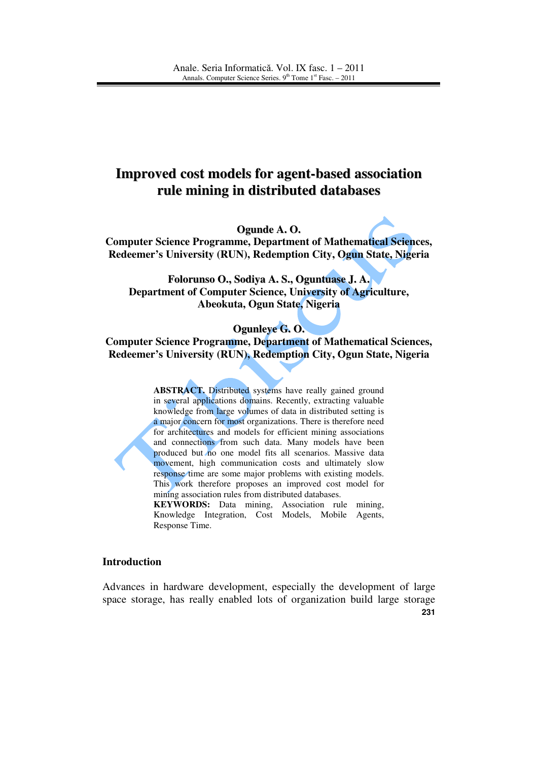# **Improved cost models for agent-based association rule mining in distributed databases**

**Ogunde A. O.**

**Computer Science Programme, Department of Mathematical Sciences, Redeemer's University (RUN), Redemption City, Ogun State, Nigeria**

**Folorunso O., Sodiya A. S., Oguntuase J. A. Department of Computer Science, University of Agriculture, Abeokuta, Ogun State, Nigeria** 

# **Ogunleye G. O.**

**Computer Science Programme, Department of Mathematical Sciences, Redeemer's University (RUN), Redemption City, Ogun State, Nigeria**

> **ABSTRACT.** Distributed systems have really gained ground in several applications domains. Recently, extracting valuable knowledge from large volumes of data in distributed setting is a major concern for most organizations. There is therefore need for architectures and models for efficient mining associations and connections from such data. Many models have been produced but no one model fits all scenarios. Massive data movement, high communication costs and ultimately slow response time are some major problems with existing models. This work therefore proposes an improved cost model for mining association rules from distributed databases. **KEYWORDS:** Data mining, Association rule mining,

> Knowledge Integration, Cost Models, Mobile Agents, Response Time.

#### **Introduction**

**231** Advances in hardware development, especially the development of large space storage, has really enabled lots of organization build large storage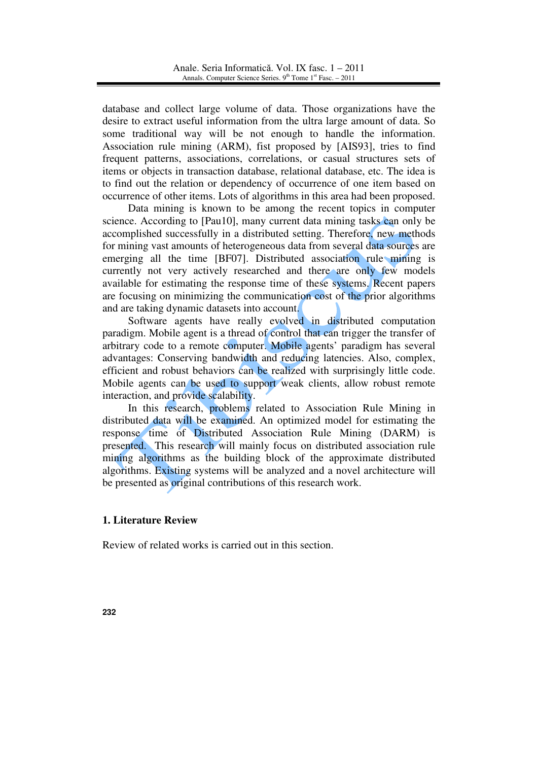database and collect large volume of data. Those organizations have the desire to extract useful information from the ultra large amount of data. So some traditional way will be not enough to handle the information. Association rule mining (ARM), fist proposed by [AIS93], tries to find frequent patterns, associations, correlations, or casual structures sets of items or objects in transaction database, relational database, etc. The idea is to find out the relation or dependency of occurrence of one item based on occurrence of other items. Lots of algorithms in this area had been proposed.

 Data mining is known to be among the recent topics in computer science. According to [Pau10], many current data mining tasks can only be accomplished successfully in a distributed setting. Therefore, new methods for mining vast amounts of heterogeneous data from several data sources are emerging all the time [BF07]. Distributed association rule mining is currently not very actively researched and there are only few models available for estimating the response time of these systems. Recent papers are focusing on minimizing the communication cost of the prior algorithms and are taking dynamic datasets into account.

Software agents have really evolved in distributed computation paradigm. Mobile agent is a thread of control that can trigger the transfer of arbitrary code to a remote computer. Mobile agents' paradigm has several advantages: Conserving bandwidth and reducing latencies. Also, complex, efficient and robust behaviors can be realized with surprisingly little code. Mobile agents can be used to support weak clients, allow robust remote interaction, and provide scalability.

In this research, problems related to Association Rule Mining in distributed data will be examined. An optimized model for estimating the response time of Distributed Association Rule Mining (DARM) is presented. This research will mainly focus on distributed association rule mining algorithms as the building block of the approximate distributed algorithms. Existing systems will be analyzed and a novel architecture will be presented as original contributions of this research work.

# **1. Literature Review**

Review of related works is carried out in this section.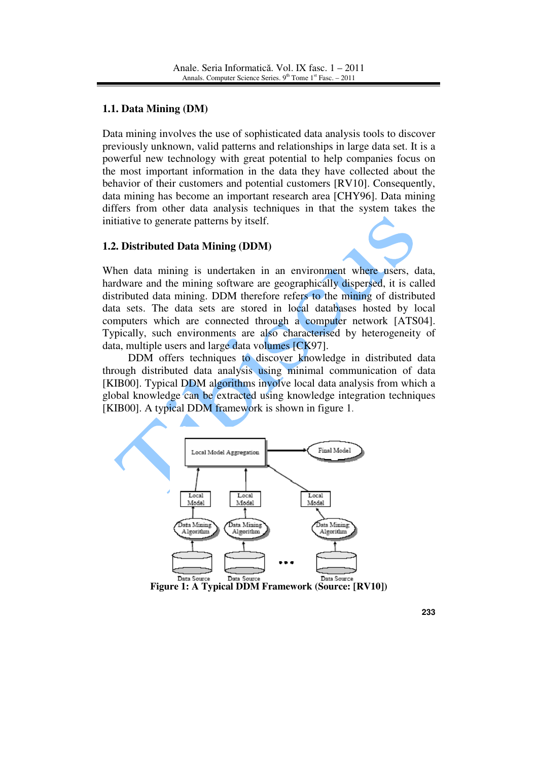# **1.1. Data Mining (DM)**

Data mining involves the use of sophisticated data analysis tools to discover previously unknown, valid patterns and relationships in large data set. It is a powerful new technology with great potential to help companies focus on the most important information in the data they have collected about the behavior of their customers and potential customers [RV10]. Consequently, data mining has become an important research area [CHY96]. Data mining differs from other data analysis techniques in that the system takes the initiative to generate patterns by itself.

# **1.2. Distributed Data Mining (DDM)**

When data mining is undertaken in an environment where users, data, hardware and the mining software are geographically dispersed, it is called distributed data mining. DDM therefore refers to the mining of distributed data sets. The data sets are stored in local databases hosted by local computers which are connected through a computer network [ATS04]. Typically, such environments are also characterised by heterogeneity of data, multiple users and large data volumes [CK97].

DDM offers techniques to discover knowledge in distributed data through distributed data analysis using minimal communication of data [KIB00]. Typical DDM algorithms involve local data analysis from which a global knowledge can be extracted using knowledge integration techniques [KIB00]. A typical DDM framework is shown in figure 1.

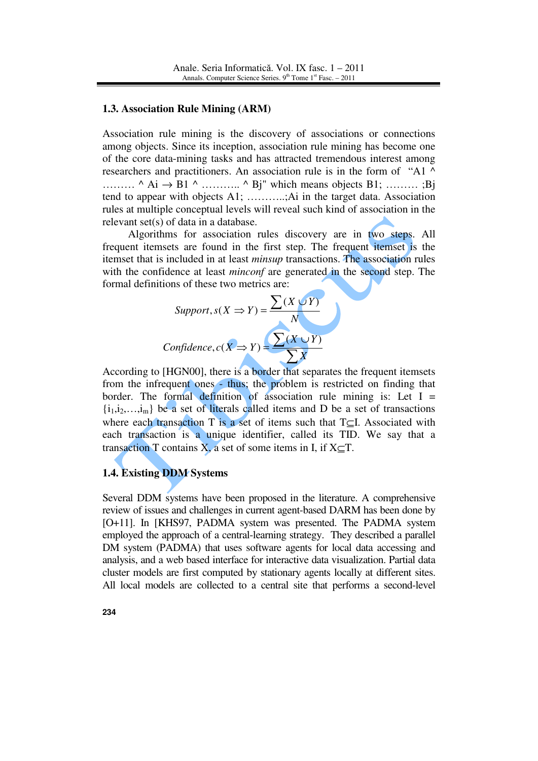### **1.3. Association Rule Mining (ARM)**

Association rule mining is the discovery of associations or connections among objects. Since its inception, association rule mining has become one of the core data-mining tasks and has attracted tremendous interest among researchers and practitioners. An association rule is in the form of "A1 ^ ……… ^ Ai  $\rightarrow$  B1 ^ ……….. ^ Bi" which means objects B1; ……… ;Bi tend to appear with objects A1; ………..;Ai in the target data. Association rules at multiple conceptual levels will reveal such kind of association in the relevant set(s) of data in a database.

 Algorithms for association rules discovery are in two steps. All frequent itemsets are found in the first step. The frequent itemset is the itemset that is included in at least *minsup* transactions. The association rules with the confidence at least *minconf* are generated in the second step. The formal definitions of these two metrics are:

$$
Support, s(X \Rightarrow Y) = \frac{\sum (X \cup Y)}{N}
$$
  
Confidence, c(X \Rightarrow Y) =  $\frac{\sum (X \cup Y)}{\sum X}$ 

According to [HGN00], there is a border that separates the frequent itemsets from the infrequent ones - thus; the problem is restricted on finding that border. The formal definition of association rule mining is: Let  $I =$  $\{i_1, i_2, \ldots, i_m\}$  be a set of literals called items and D be a set of transactions where each transaction T is a set of items such that T⊂I. Associated with each transaction is a unique identifier, called its TID. We say that a transaction T contains X, a set of some items in I, if  $X\square$ T.

# **1.4. Existing DDM Systems**

Several DDM systems have been proposed in the literature. A comprehensive review of issues and challenges in current agent-based DARM has been done by [O+11]. In [KHS97, PADMA system was presented. The PADMA system employed the approach of a central-learning strategy. They described a parallel DM system (PADMA) that uses software agents for local data accessing and analysis, and a web based interface for interactive data visualization. Partial data cluster models are first computed by stationary agents locally at different sites. All local models are collected to a central site that performs a second-level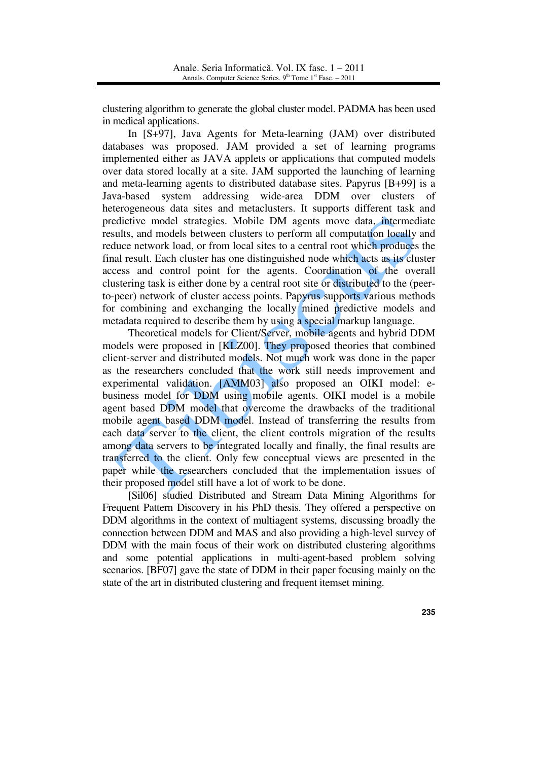clustering algorithm to generate the global cluster model. PADMA has been used in medical applications.

 In [S+97], Java Agents for Meta-learning (JAM) over distributed databases was proposed. JAM provided a set of learning programs implemented either as JAVA applets or applications that computed models over data stored locally at a site. JAM supported the launching of learning and meta-learning agents to distributed database sites. Papyrus [B+99] is a Java-based system addressing wide-area DDM over clusters of heterogeneous data sites and metaclusters. It supports different task and predictive model strategies. Mobile DM agents move data, intermediate results, and models between clusters to perform all computation locally and reduce network load, or from local sites to a central root which produces the final result. Each cluster has one distinguished node which acts as its cluster access and control point for the agents. Coordination of the overall clustering task is either done by a central root site or distributed to the (peerto-peer) network of cluster access points. Papyrus supports various methods for combining and exchanging the locally mined predictive models and metadata required to describe them by using a special markup language.

 Theoretical models for Client/Server, mobile agents and hybrid DDM models were proposed in [KLZ00]. They proposed theories that combined client-server and distributed models. Not much work was done in the paper as the researchers concluded that the work still needs improvement and experimental validation. [AMM03] also proposed an OIKI model: ebusiness model for DDM using mobile agents. OIKI model is a mobile agent based DDM model that overcome the drawbacks of the traditional mobile agent based DDM model. Instead of transferring the results from each data server to the client, the client controls migration of the results among data servers to be integrated locally and finally, the final results are transferred to the client. Only few conceptual views are presented in the paper while the researchers concluded that the implementation issues of their proposed model still have a lot of work to be done.

 [Sil06] studied Distributed and Stream Data Mining Algorithms for Frequent Pattern Discovery in his PhD thesis. They offered a perspective on DDM algorithms in the context of multiagent systems, discussing broadly the connection between DDM and MAS and also providing a high-level survey of DDM with the main focus of their work on distributed clustering algorithms and some potential applications in multi-agent-based problem solving scenarios. [BF07] gave the state of DDM in their paper focusing mainly on the state of the art in distributed clustering and frequent itemset mining.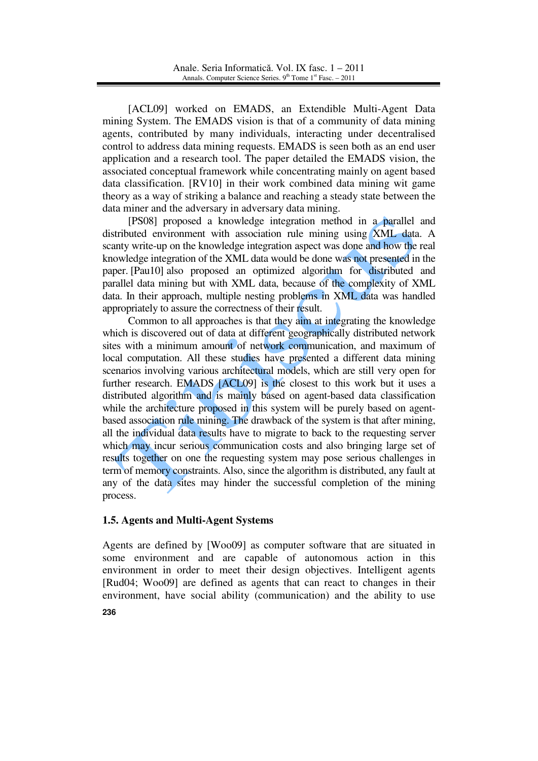[ACL09] worked on EMADS, an Extendible Multi-Agent Data mining System. The EMADS vision is that of a community of data mining agents, contributed by many individuals, interacting under decentralised control to address data mining requests. EMADS is seen both as an end user application and a research tool. The paper detailed the EMADS vision, the associated conceptual framework while concentrating mainly on agent based data classification. [RV10] in their work combined data mining wit game theory as a way of striking a balance and reaching a steady state between the data miner and the adversary in adversary data mining.

 [PS08] proposed a knowledge integration method in a parallel and distributed environment with association rule mining using XML data. A scanty write-up on the knowledge integration aspect was done and how the real knowledge integration of the XML data would be done was not presented in the paper. [Pau10] also proposed an optimized algorithm for distributed and parallel data mining but with XML data, because of the complexity of XML data. In their approach, multiple nesting problems in XML data was handled appropriately to assure the correctness of their result.

 Common to all approaches is that they aim at integrating the knowledge which is discovered out of data at different geographically distributed network sites with a minimum amount of network communication, and maximum of local computation. All these studies have presented a different data mining scenarios involving various architectural models, which are still very open for further research. EMADS [ACL09] is the closest to this work but it uses a distributed algorithm and is mainly based on agent-based data classification while the architecture proposed in this system will be purely based on agentbased association rule mining. The drawback of the system is that after mining, all the individual data results have to migrate to back to the requesting server which may incur serious communication costs and also bringing large set of results together on one the requesting system may pose serious challenges in term of memory constraints. Also, since the algorithm is distributed, any fault at any of the data sites may hinder the successful completion of the mining process.

## **1.5. Agents and Multi-Agent Systems**

Agents are defined by [Woo09] as computer software that are situated in some environment and are capable of autonomous action in this environment in order to meet their design objectives. Intelligent agents [Rud04; Woo09] are defined as agents that can react to changes in their environment, have social ability (communication) and the ability to use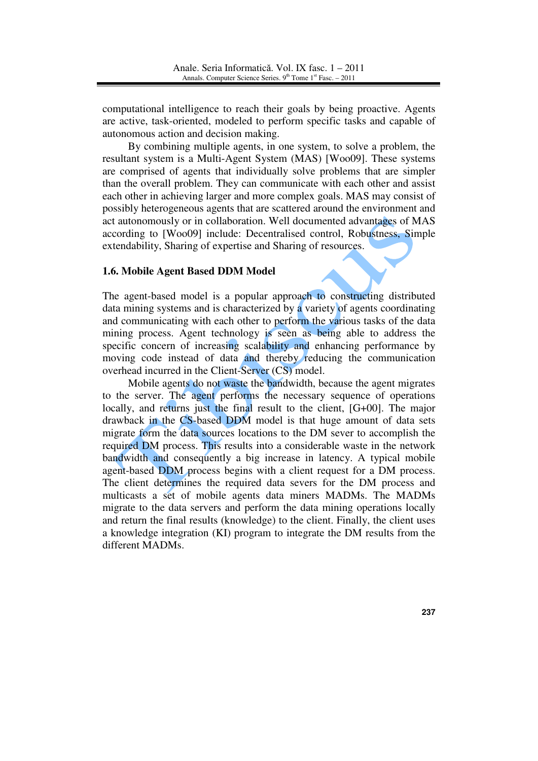computational intelligence to reach their goals by being proactive. Agents are active, task-oriented, modeled to perform specific tasks and capable of autonomous action and decision making.

 By combining multiple agents, in one system, to solve a problem, the resultant system is a Multi-Agent System (MAS) [Woo09]. These systems are comprised of agents that individually solve problems that are simpler than the overall problem. They can communicate with each other and assist each other in achieving larger and more complex goals. MAS may consist of possibly heterogeneous agents that are scattered around the environment and act autonomously or in collaboration. Well documented advantages of MAS according to [Woo09] include: Decentralised control, Robustness, Simple extendability, Sharing of expertise and Sharing of resources.

## **1.6. Mobile Agent Based DDM Model**

The agent-based model is a popular approach to constructing distributed data mining systems and is characterized by a variety of agents coordinating and communicating with each other to perform the various tasks of the data mining process. Agent technology is seen as being able to address the specific concern of increasing scalability and enhancing performance by moving code instead of data and thereby reducing the communication overhead incurred in the Client-Server (CS) model.

 Mobile agents do not waste the bandwidth, because the agent migrates to the server. The agent performs the necessary sequence of operations locally, and returns just the final result to the client, [G+00]. The major drawback in the CS-based DDM model is that huge amount of data sets migrate form the data sources locations to the DM sever to accomplish the required DM process. This results into a considerable waste in the network bandwidth and consequently a big increase in latency. A typical mobile agent-based DDM process begins with a client request for a DM process. The client determines the required data severs for the DM process and multicasts a set of mobile agents data miners MADMs. The MADMs migrate to the data servers and perform the data mining operations locally and return the final results (knowledge) to the client. Finally, the client uses a knowledge integration (KI) program to integrate the DM results from the different MADMs.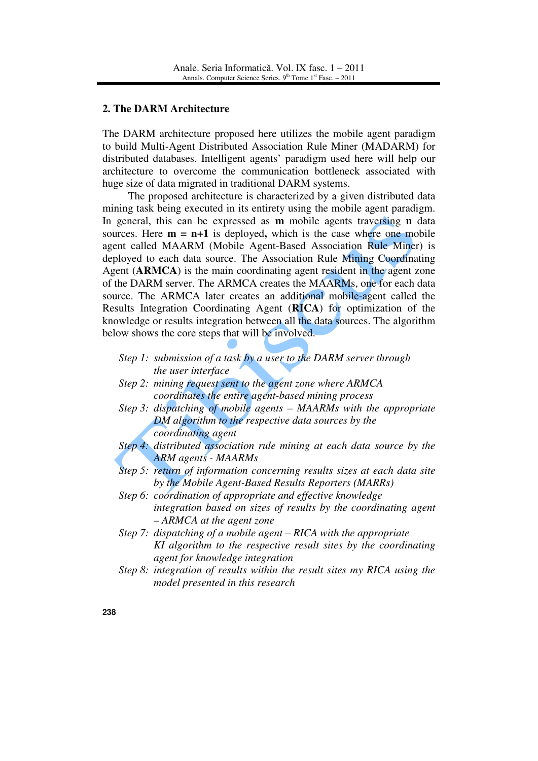#### **2. The DARM Architecture**

The DARM architecture proposed here utilizes the mobile agent paradigm to build Multi-Agent Distributed Association Rule Miner (MADARM) for distributed databases. Intelligent agents' paradigm used here will help our architecture to overcome the communication bottleneck associated with huge size of data migrated in traditional DARM systems.

 The proposed architecture is characterized by a given distributed data mining task being executed in its entirety using the mobile agent paradigm. In general, this can be expressed as **m** mobile agents traversing **n** data sources. Here  $m = n+1$  is deployed, which is the case where one mobile agent called MAARM (Mobile Agent-Based Association Rule Miner) is deployed to each data source. The Association Rule Mining Coordinating Agent (**ARMCA**) is the main coordinating agent resident in the agent zone of the DARM server. The ARMCA creates the MAARMs, one for each data source. The ARMCA later creates an additional mobile-agent called the Results Integration Coordinating Agent (**RICA**) for optimization of the knowledge or results integration between all the data sources. The algorithm below shows the core steps that will be involved.

- *Step 1: submission of a task by a user to the DARM server through the user interface*
- *Step 2: mining request sent to the agent zone where ARMCA coordinates the entire agent-based mining process*
- *Step 3: dispatching of mobile agents MAARMs with the appropriate DM algorithm to the respective data sources by the coordinating agent*
- *Step 4: distributed association rule mining at each data source by the ARM agents - MAARMs*
- *Step 5: return of information concerning results sizes at each data site by the Mobile Agent-Based Results Reporters (MARRs)*
- *Step 6: coordination of appropriate and effective knowledge integration based on sizes of results by the coordinating agent – ARMCA at the agent zone*
- *Step 7: dispatching of a mobile agent RICA with the appropriate KI algorithm to the respective result sites by the coordinating agent for knowledge integration*
- *Step 8: integration of results within the result sites my RICA using the model presented in this research*
- **238**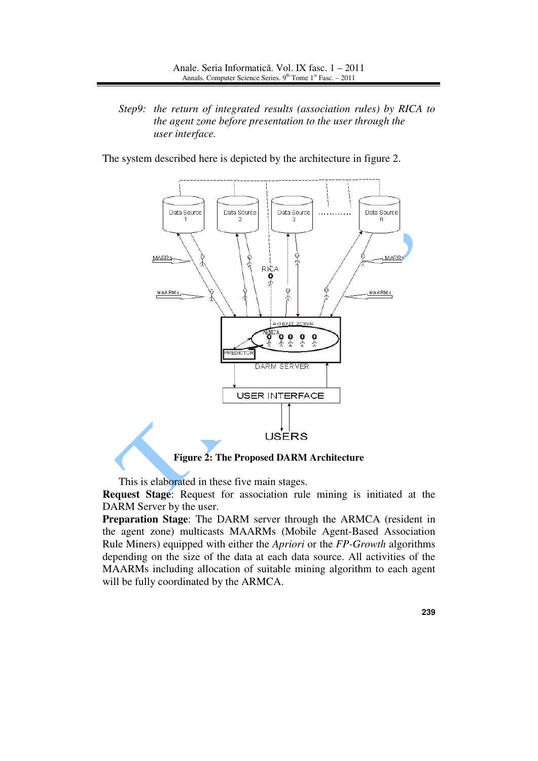*Step9: the return of integrated results (association rules) by RICA to the agent zone before presentation to the user through the user interface.* 

The system described here is depicted by the architecture in figure 2.



This is elaborated in these five main stages.

**Request Stage**: Request for association rule mining is initiated at the DARM Server by the user.

**Preparation Stage**: The DARM server through the ARMCA (resident in the agent zone) multicasts MAARMs (Mobile Agent-Based Association Rule Miners) equipped with either the *Apriori* or the *FP-Growth* algorithms depending on the size of the data at each data source. All activities of the MAARMs including allocation of suitable mining algorithm to each agent will be fully coordinated by the ARMCA.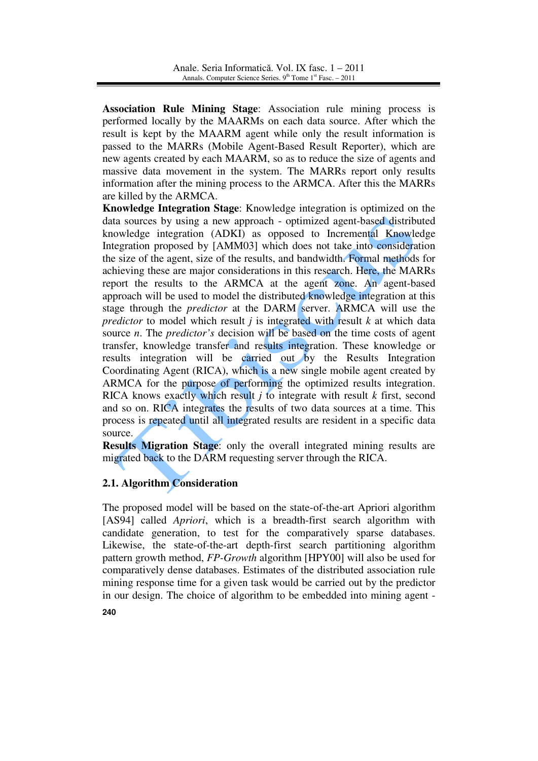**Association Rule Mining Stage**: Association rule mining process is performed locally by the MAARMs on each data source. After which the result is kept by the MAARM agent while only the result information is passed to the MARRs (Mobile Agent-Based Result Reporter), which are new agents created by each MAARM, so as to reduce the size of agents and massive data movement in the system. The MARRs report only results information after the mining process to the ARMCA. After this the MARRs are killed by the ARMCA.

**Knowledge Integration Stage**: Knowledge integration is optimized on the data sources by using a new approach - optimized agent-based distributed knowledge integration (ADKI) as opposed to Incremental Knowledge Integration proposed by [AMM03] which does not take into consideration the size of the agent, size of the results, and bandwidth. Formal methods for achieving these are major considerations in this research. Here, the MARRs report the results to the ARMCA at the agent zone. An agent-based approach will be used to model the distributed knowledge integration at this stage through the *predictor* at the DARM server. ARMCA will use the *predictor* to model which result *j* is integrated with result *k* at which data source *n*. The *predictor's* decision will be based on the time costs of agent transfer, knowledge transfer and results integration. These knowledge or results integration will be carried out by the Results Integration Coordinating Agent (RICA), which is a new single mobile agent created by ARMCA for the purpose of performing the optimized results integration. RICA knows exactly which result *j* to integrate with result *k* first, second and so on. RICA integrates the results of two data sources at a time. This process is repeated until all integrated results are resident in a specific data source.

**Results Migration Stage**: only the overall integrated mining results are migrated back to the DARM requesting server through the RICA.

# **2.1. Algorithm Consideration**

The proposed model will be based on the state-of-the-art Apriori algorithm [AS94] called *Apriori*, which is a breadth-first search algorithm with candidate generation, to test for the comparatively sparse databases. Likewise, the state-of-the-art depth-first search partitioning algorithm pattern growth method, *FP-Growth* algorithm [HPY00] will also be used for comparatively dense databases. Estimates of the distributed association rule mining response time for a given task would be carried out by the predictor in our design. The choice of algorithm to be embedded into mining agent -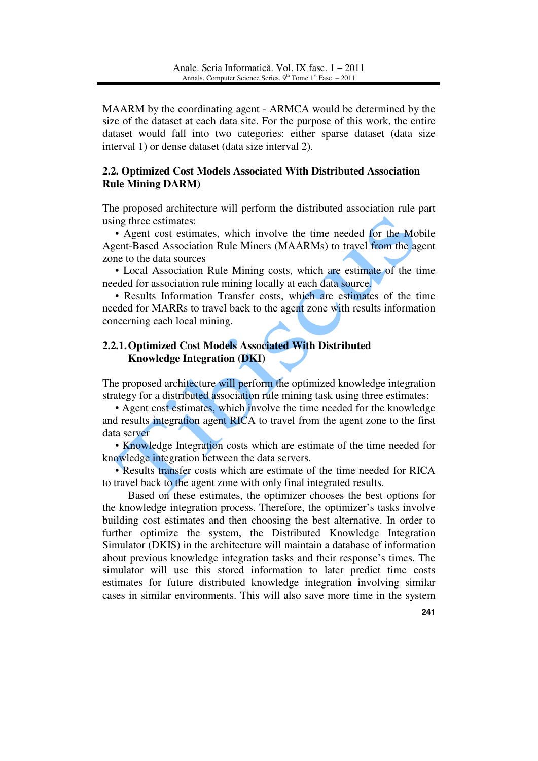MAARM by the coordinating agent - ARMCA would be determined by the size of the dataset at each data site. For the purpose of this work, the entire dataset would fall into two categories: either sparse dataset (data size interval 1) or dense dataset (data size interval 2).

## **2.2. Optimized Cost Models Associated With Distributed Association Rule Mining DARM)**

The proposed architecture will perform the distributed association rule part using three estimates:

 • Agent cost estimates, which involve the time needed for the Mobile Agent-Based Association Rule Miners (MAARMs) to travel from the agent zone to the data sources

 • Local Association Rule Mining costs, which are estimate of the time needed for association rule mining locally at each data source.

 • Results Information Transfer costs, which are estimates of the time needed for MARRs to travel back to the agent zone with results information concerning each local mining.

# **2.2.1. Optimized Cost Models Associated With Distributed Knowledge Integration (DKI)**

The proposed architecture will perform the optimized knowledge integration strategy for a distributed association rule mining task using three estimates:

 • Agent cost estimates, which involve the time needed for the knowledge and results integration agent RICA to travel from the agent zone to the first data server

 • Knowledge Integration costs which are estimate of the time needed for knowledge integration between the data servers.

• Results transfer costs which are estimate of the time needed for RICA to travel back to the agent zone with only final integrated results.

 Based on these estimates, the optimizer chooses the best options for the knowledge integration process. Therefore, the optimizer's tasks involve building cost estimates and then choosing the best alternative. In order to further optimize the system, the Distributed Knowledge Integration Simulator (DKIS) in the architecture will maintain a database of information about previous knowledge integration tasks and their response's times. The simulator will use this stored information to later predict time costs estimates for future distributed knowledge integration involving similar cases in similar environments. This will also save more time in the system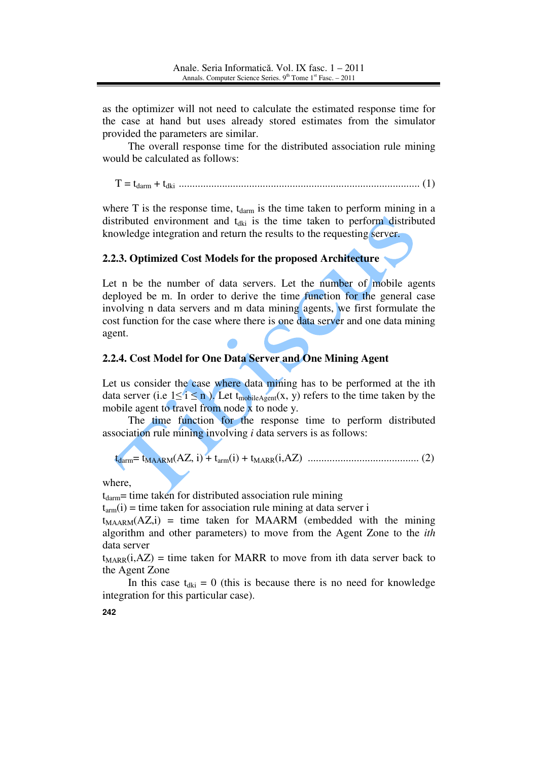as the optimizer will not need to calculate the estimated response time for the case at hand but uses already stored estimates from the simulator provided the parameters are similar.

 The overall response time for the distributed association rule mining would be calculated as follows:

T = tdarm + tdki ......................................................................................... (1)

where  $T$  is the response time,  $t_{\text{darm}}$  is the time taken to perform mining in a distributed environment and  $t_{dki}$  is the time taken to perform distributed knowledge integration and return the results to the requesting server.

# **2.2.3. Optimized Cost Models for the proposed Architecture**

Let n be the number of data servers. Let the number of mobile agents deployed be m. In order to derive the time function for the general case involving n data servers and m data mining agents, we first formulate the cost function for the case where there is one data server and one data mining agent.

#### **2.2.4. Cost Model for One Data Server and One Mining Agent**

Let us consider the case where data mining has to be performed at the ith data server (i.e  $1 \le i \le n$ ). Let t<sub>mobileAgent</sub>(x, y) refers to the time taken by the mobile agent to travel from node  $x$  to node y.

 The time function for the response time to perform distributed association rule mining involving *i* data servers is as follows:

tdarm= tMAARM(AZ, i) + tarm(i) + tMARR(i,AZ) ......................................... (2)

where,

 $t_{\text{darm}}$ = time taken for distributed association rule mining

 $t_{arm}(i)$  = time taken for association rule mining at data server i

 $t_{MAXM}(AZ,i)$  = time taken for MAARM (embedded with the mining algorithm and other parameters) to move from the Agent Zone to the *ith* data server

 $t_{MARR}(i, AZ)$  = time taken for MARR to move from ith data server back to the Agent Zone

In this case  $t_{dki} = 0$  (this is because there is no need for knowledge integration for this particular case).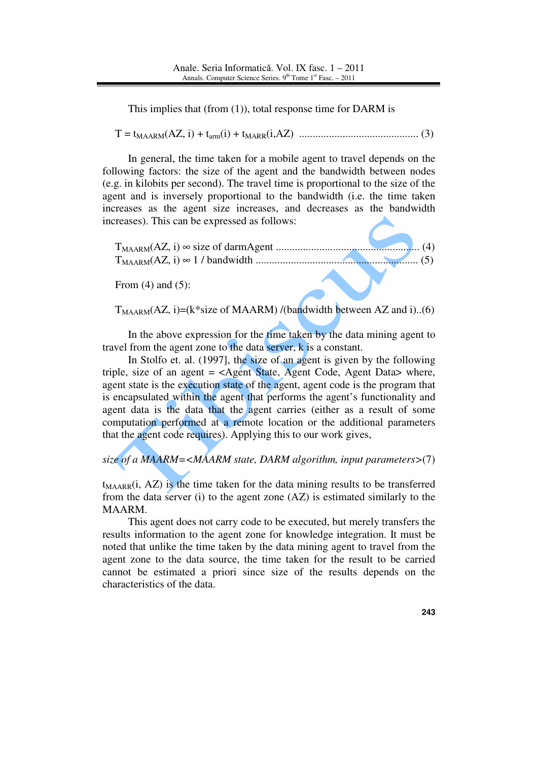This implies that (from (1)), total response time for DARM is

T = tMAARM(AZ, i) + tarm(i) + tMARR(i,AZ) ............................................ (3)

 In general, the time taken for a mobile agent to travel depends on the following factors: the size of the agent and the bandwidth between nodes (e.g. in kilobits per second). The travel time is proportional to the size of the agent and is inversely proportional to the bandwidth (i.e. the time taken increases as the agent size increases, and decreases as the bandwidth increases). This can be expressed as follows:

TMAARM(AZ, i) ∞ size of darmAgent ..................................................... (4) TMAARM(AZ, i) ∞ 1 / bandwidth ............................................................ (5)

From  $(4)$  and  $(5)$ :

 $T_{MAXM}(AZ, i) = (k*size of MAARM) / (bandwidth between AZ and i)$ ..(6)

 In the above expression for the time taken by the data mining agent to travel from the agent zone to the data server, k is a constant.

 In Stolfo et. al. (1997], the size of an agent is given by the following triple, size of an agent  $=$  <Agent State, Agent Code, Agent Data> where, agent state is the execution state of the agent, agent code is the program that is encapsulated within the agent that performs the agent's functionality and agent data is the data that the agent carries (either as a result of some computation performed at a remote location or the additional parameters that the agent code requires). Applying this to our work gives,

*size of a MAARM=<MAARM state, DARM algorithm, input parameters>*(7)

 $t_{\text{MAARR}}(i, AZ)$  is the time taken for the data mining results to be transferred from the data server (i) to the agent zone (AZ) is estimated similarly to the MAARM.

 This agent does not carry code to be executed, but merely transfers the results information to the agent zone for knowledge integration. It must be noted that unlike the time taken by the data mining agent to travel from the agent zone to the data source, the time taken for the result to be carried cannot be estimated a priori since size of the results depends on the characteristics of the data.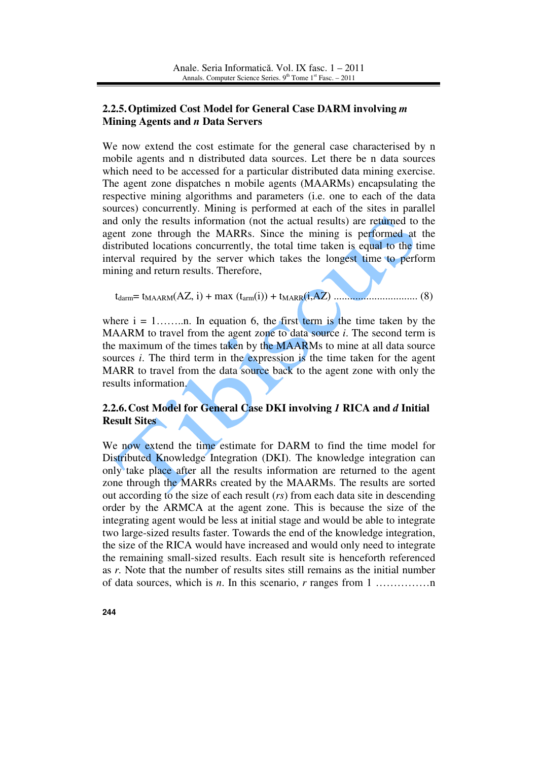# **2.2.5. Optimized Cost Model for General Case DARM involving** *m*  **Mining Agents and** *n* **Data Servers**

We now extend the cost estimate for the general case characterised by n mobile agents and n distributed data sources. Let there be n data sources which need to be accessed for a particular distributed data mining exercise. The agent zone dispatches n mobile agents (MAARMs) encapsulating the respective mining algorithms and parameters (i.e. one to each of the data sources) concurrently. Mining is performed at each of the sites in parallel and only the results information (not the actual results) are returned to the agent zone through the MARRs. Since the mining is performed at the distributed locations concurrently, the total time taken is equal to the time interval required by the server which takes the longest time to perform mining and return results. Therefore,

tdarm= tMAARM(AZ, i) + max (tarm(i)) + tMARR(i,AZ) ............................... (8)

where  $i = 1, \ldots, n$ . In equation 6, the first term is the time taken by the MAARM to travel from the agent zone to data source *i*. The second term is the maximum of the times taken by the MAARMs to mine at all data source sources *i*. The third term in the expression is the time taken for the agent MARR to travel from the data source back to the agent zone with only the results information.

# **2.2.6. Cost Model for General Case DKI involving** *1* **RICA and** *d* **Initial Result Sites**

We now extend the time estimate for DARM to find the time model for Distributed Knowledge Integration (DKI). The knowledge integration can only take place after all the results information are returned to the agent zone through the MARRs created by the MAARMs. The results are sorted out according to the size of each result (*rs*) from each data site in descending order by the ARMCA at the agent zone. This is because the size of the integrating agent would be less at initial stage and would be able to integrate two large-sized results faster. Towards the end of the knowledge integration, the size of the RICA would have increased and would only need to integrate the remaining small-sized results. Each result site is henceforth referenced as *r.* Note that the number of results sites still remains as the initial number of data sources, which is *n*. In this scenario, *r* ranges from 1 ……………n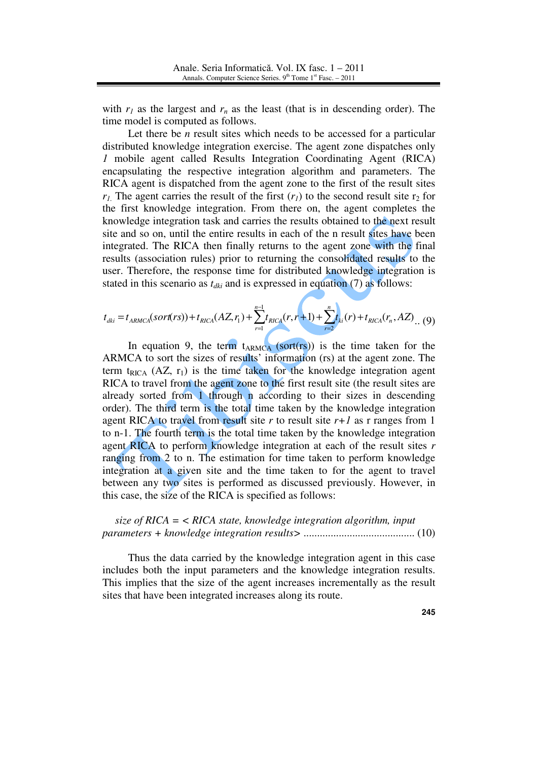with  $r_l$  as the largest and  $r_n$  as the least (that is in descending order). The time model is computed as follows.

Let there be *n* result sites which needs to be accessed for a particular distributed knowledge integration exercise. The agent zone dispatches only *1* mobile agent called Results Integration Coordinating Agent (RICA) encapsulating the respective integration algorithm and parameters. The RICA agent is dispatched from the agent zone to the first of the result sites  $r_1$ . The agent carries the result of the first  $(r_1)$  to the second result site  $r_2$  for the first knowledge integration. From there on, the agent completes the knowledge integration task and carries the results obtained to the next result site and so on, until the entire results in each of the n result sites have been integrated. The RICA then finally returns to the agent zone with the final results (association rules) prior to returning the consolidated results to the user. Therefore, the response time for distributed knowledge integration is stated in this scenario as *tdki* and is expressed in equation (7) as follows:

$$
t_{dki} = t_{ARMCA}(sort(rs)) + t_{RICA}(AZ, r_1) + \sum_{r=1}^{n-1} t_{RICA}(r, r+1) + \sum_{r=2}^{n} t_{ki}(r) + t_{RICA}(r_n, AZ) \tag{9}
$$

In equation 9, the term  $t_{ARMCA}$  (sort(rs)) is the time taken for the ARMCA to sort the sizes of results' information (rs) at the agent zone. The term  $t_{RICA}$  (AZ,  $r_1$ ) is the time taken for the knowledge integration agent RICA to travel from the agent zone to the first result site (the result sites are already sorted from 1 through n according to their sizes in descending order). The third term is the total time taken by the knowledge integration agent RICA to travel from result site *r* to result site  $r+1$  as r ranges from 1 to n-1. The fourth term is the total time taken by the knowledge integration agent RICA to perform knowledge integration at each of the result sites *r* ranging from 2 to n. The estimation for time taken to perform knowledge integration at a given site and the time taken to for the agent to travel between any two sites is performed as discussed previously. However, in this case, the size of the RICA is specified as follows:

## *size of RICA = < RICA state, knowledge integration algorithm, input parameters + knowledge integration results>* ......................................... (10)

 Thus the data carried by the knowledge integration agent in this case includes both the input parameters and the knowledge integration results. This implies that the size of the agent increases incrementally as the result sites that have been integrated increases along its route.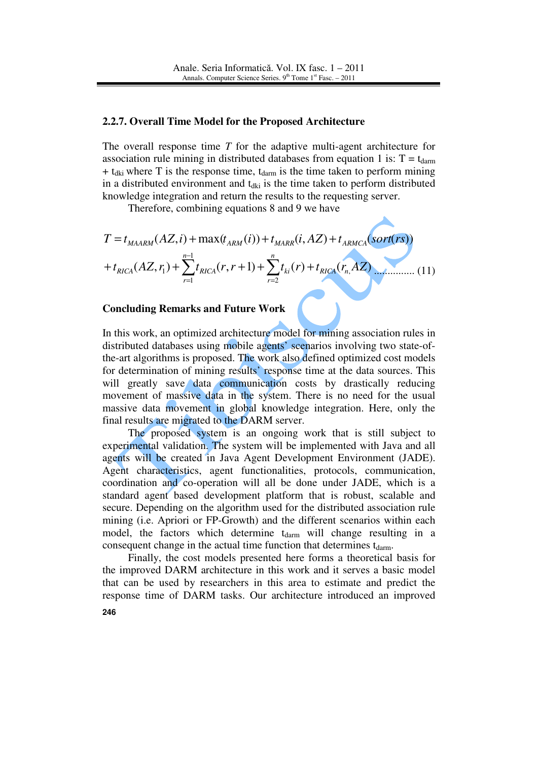#### **2.2.7. Overall Time Model for the Proposed Architecture**

The overall response time *T* for the adaptive multi-agent architecture for association rule mining in distributed databases from equation 1 is:  $T = t_{\text{darm}}$  $+ t_{dki}$  where T is the response time,  $t_{darm}$  is the time taken to perform mining in a distributed environment and  $t_{dk}$  is the time taken to perform distributed knowledge integration and return the results to the requesting server.

Therefore, combining equations 8 and 9 we have

$$
T = t_{MAXRM}(AZ, i) + \max(t_{ARM}(i)) + t_{MARK}(i, AZ) + t_{ARKCA}(sort(rs))
$$
  
+  $t_{RICA}(AZ, r_1) + \sum_{r=1}^{n-1} t_{RICA}(r, r+1) + \sum_{r=2}^{n} t_{ki}(r) + t_{RICA}(r_n, AZ)$ ........(11)

# **Concluding Remarks and Future Work**

In this work, an optimized architecture model for mining association rules in distributed databases using mobile agents' scenarios involving two state-ofthe-art algorithms is proposed. The work also defined optimized cost models for determination of mining results' response time at the data sources. This will greatly save data communication costs by drastically reducing movement of massive data in the system. There is no need for the usual massive data movement in global knowledge integration. Here, only the final results are migrated to the DARM server.

 The proposed system is an ongoing work that is still subject to experimental validation. The system will be implemented with Java and all agents will be created in Java Agent Development Environment (JADE). Agent characteristics, agent functionalities, protocols, communication, coordination and co-operation will all be done under JADE, which is a standard agent based development platform that is robust, scalable and secure. Depending on the algorithm used for the distributed association rule mining (i.e. Apriori or FP-Growth) and the different scenarios within each model, the factors which determine t<sub>darm</sub> will change resulting in a consequent change in the actual time function that determines t<sub>darm</sub>.

 Finally, the cost models presented here forms a theoretical basis for the improved DARM architecture in this work and it serves a basic model that can be used by researchers in this area to estimate and predict the response time of DARM tasks. Our architecture introduced an improved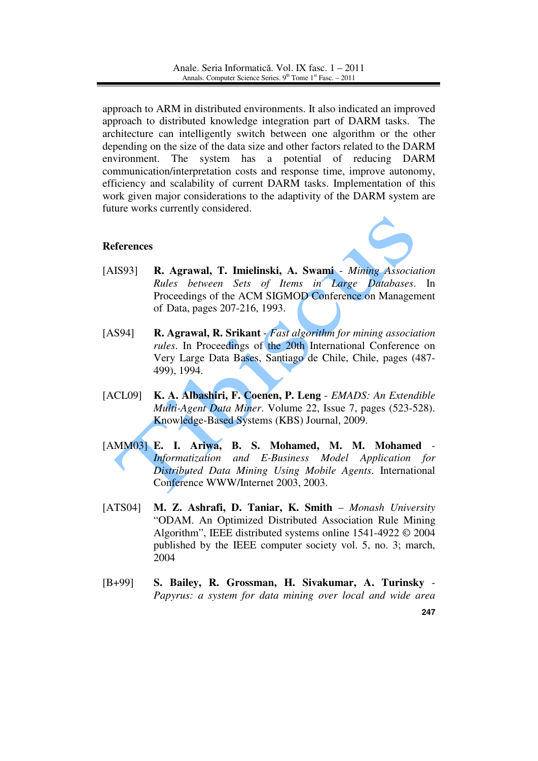approach to ARM in distributed environments. It also indicated an improved approach to distributed knowledge integration part of DARM tasks. The architecture can intelligently switch between one algorithm or the other depending on the size of the data size and other factors related to the DARM environment. The system has a potential of reducing DARM communication/interpretation costs and response time, improve autonomy, efficiency and scalability of current DARM tasks. Implementation of this work given major considerations to the adaptivity of the DARM system are future works currently considered.

## **References**



- [AIS93] **R. Agrawal, T. Imielinski, A. Swami** *Mining Association Rules between Sets of Items in Large Databases*. In Proceedings of the ACM SIGMOD Conference on Management of Data, pages 207-216, 1993.
- [AS94] **R. Agrawal, R. Srikant** *Fast algorithm for mining association rules*. In Proceedings of the 20th International Conference on Very Large Data Bases, Santiago de Chile, Chile, pages (487- 499), 1994.
- [ACL09] **K. A. Albashiri, F. Coenen, P. Leng**  *EMADS: An Extendible Multi-Agent Data Miner*. Volume 22, Issue 7, pages (523-528). Knowledge-Based Systems (KBS) Journal, 2009.
- [AMM03] **E. I. Ariwa, B. S. Mohamed, M. M. Mohamed** *Informatization and E-Business Model Application for Distributed Data Mining Using Mobile Agents*. International Conference WWW/Internet 2003, 2003.
- [ATS04] **M. Z. Ashrafi, D. Taniar, K. Smith** *Monash University*  "ODAM. An Optimized Distributed Association Rule Mining Algorithm", IEEE distributed systems online 1541-4922 © 2004 published by the IEEE computer society vol. 5, no. 3; march, 2004
- [B+99] **S. Bailey, R. Grossman, H. Sivakumar, A. Turinsky** *Papyrus: a system for data mining over local and wide area*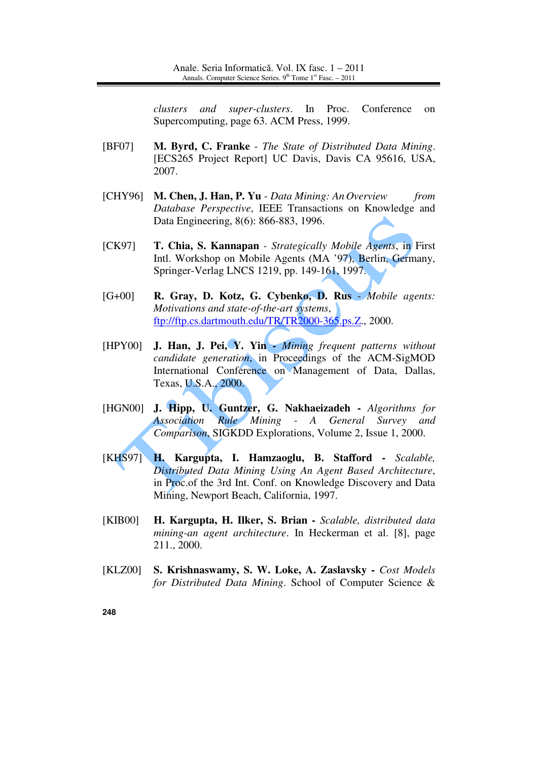*clusters and super-clusters*. In Proc. Conference on Supercomputing, page 63. ACM Press, 1999.

- [BF07] **M. Byrd, C. Franke** *The State of Distributed Data Mining*. [ECS265 Project Report] UC Davis, Davis CA 95616, USA, 2007.
- [CHY96] **M. Chen, J. Han, P. Yu** *Data Mining: An Overview from Database Perspective*, IEEE Transactions on Knowledge and Data Engineering, 8(6): 866-883, 1996.
- [CK97] **T. Chia, S. Kannapan** *Strategically Mobile Agents*, in First Intl. Workshop on Mobile Agents (MA '97), Berlin, Germany, Springer-Verlag LNCS 1219, pp. 149-161, 1997.
- [G+00] **R. Gray, D. Kotz, G. Cybenko, D. Rus**  *Mobile agents: Motivations and state-of-the-art systems*, ftp://ftp.cs.dartmouth.edu/TR/TR2000-365.ps.Z., 2000.
- [HPY00] **J. Han, J. Pei, Y. Yin** *Mining frequent patterns without candidate generation*, in Proceedings of the ACM-SigMOD International Conference on Management of Data, Dallas, Texas, U.S.A., 2000.
- [HGN00] **J. Hipp, U. Guntzer, G. Nakhaeizadeh** *Algorithms for Association Rule Mining - A General Survey and Comparison*, SIGKDD Explorations, Volume 2, Issue 1, 2000.
- [KHS97] **H. Kargupta, I. Hamzaoglu, B. Stafford** *Scalable, Distributed Data Mining Using An Agent Based Architecture*, in Proc.of the 3rd Int. Conf. on Knowledge Discovery and Data Mining, Newport Beach, California, 1997.
- [KIB00] **H. Kargupta, H. Ilker, S. Brian** *Scalable, distributed data mining-an agent architecture*. In Heckerman et al. [8], page 211., 2000.
- [KLZ00] S. Krishnaswamy, S. W. Loke, A. Zaslavsky *Cost Models for Distributed Data Mining*. School of Computer Science &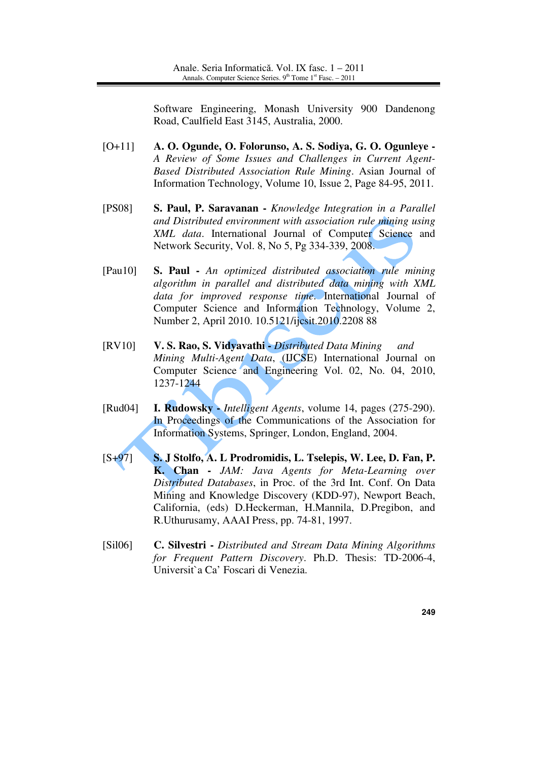Software Engineering, Monash University 900 Dandenong Road, Caulfield East 3145, Australia, 2000.

- [O+11] **A. O. Ogunde, O. Folorunso, A. S. Sodiya, G. O. Ogunleye**  *A Review of Some Issues and Challenges in Current Agent-Based Distributed Association Rule Mining*. Asian Journal of Information Technology, Volume 10, Issue 2, Page 84-95, 2011.
- [PS08] **S. Paul, P. Saravanan** *Knowledge Integration in a Parallel and Distributed environment with association rule mining using XML data*. International Journal of Computer Science and Network Security, Vol. 8, No 5, Pg 334-339, 2008.
- [Pau10] **S. Paul** *An optimized distributed association rule mining algorithm in parallel and distributed data mining with XML data for improved response time*. International Journal of Computer Science and Information Technology, Volume 2, Number 2, April 2010. 10.5121/ijcsit.2010.2208 88
- [RV10] **V. S. Rao, S. Vidyavathi** *Distributed Data Mining and Mining Multi-Agent Data*, (IJCSE) International Journal on Computer Science and Engineering Vol. 02, No. 04, 2010, 1237-1244
- [Rud04] **I. Rudowsky** *Intelligent Agents*, volume 14, pages (275-290). In Proceedings of the Communications of the Association for Information Systems, Springer, London, England, 2004.
- [S+97] **S. J Stolfo, A. L Prodromidis, L. Tselepis, W. Lee, D. Fan, P. K. Chan -** *JAM: Java Agents for Meta-Learning over Distributed Databases*, in Proc. of the 3rd Int. Conf. On Data Mining and Knowledge Discovery (KDD-97), Newport Beach, California, (eds) D.Heckerman, H.Mannila, D.Pregibon, and R.Uthurusamy, AAAI Press, pp. 74-81, 1997.
- [Sil06] **C. Silvestri** *Distributed and Stream Data Mining Algorithms for Frequent Pattern Discovery*. Ph.D. Thesis: TD-2006-4, Universit`a Ca' Foscari di Venezia.